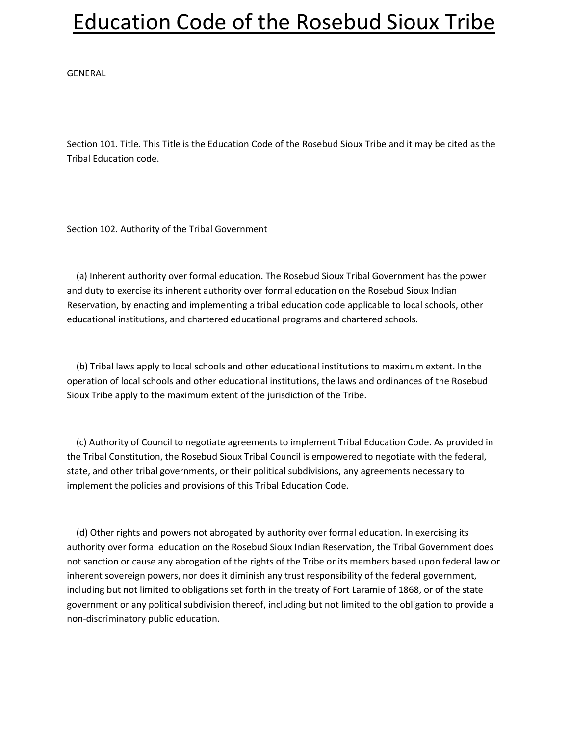GENERAL

Section 101. Title. This Title is the Education Code of the Rosebud Sioux Tribe and it may be cited as the Tribal Education code.

Section 102. Authority of the Tribal Government

 (a) Inherent authority over formal education. The Rosebud Sioux Tribal Government has the power and duty to exercise its inherent authority over formal education on the Rosebud Sioux Indian Reservation, by enacting and implementing a tribal education code applicable to local schools, other educational institutions, and chartered educational programs and chartered schools.

 (b) Tribal laws apply to local schools and other educational institutions to maximum extent. In the operation of local schools and other educational institutions, the laws and ordinances of the Rosebud Sioux Tribe apply to the maximum extent of the jurisdiction of the Tribe.

 (c) Authority of Council to negotiate agreements to implement Tribal Education Code. As provided in the Tribal Constitution, the Rosebud Sioux Tribal Council is empowered to negotiate with the federal, state, and other tribal governments, or their political subdivisions, any agreements necessary to implement the policies and provisions of this Tribal Education Code.

 (d) Other rights and powers not abrogated by authority over formal education. In exercising its authority over formal education on the Rosebud Sioux Indian Reservation, the Tribal Government does not sanction or cause any abrogation of the rights of the Tribe or its members based upon federal law or inherent sovereign powers, nor does it diminish any trust responsibility of the federal government, including but not limited to obligations set forth in the treaty of Fort Laramie of 1868, or of the state government or any political subdivision thereof, including but not limited to the obligation to provide a non-discriminatory public education.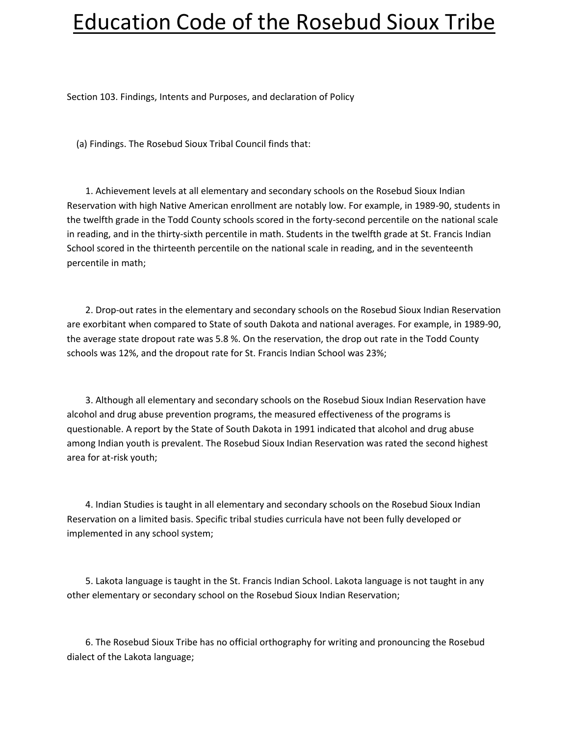Section 103. Findings, Intents and Purposes, and declaration of Policy

(a) Findings. The Rosebud Sioux Tribal Council finds that:

 1. Achievement levels at all elementary and secondary schools on the Rosebud Sioux Indian Reservation with high Native American enrollment are notably low. For example, in 1989-90, students in the twelfth grade in the Todd County schools scored in the forty-second percentile on the national scale in reading, and in the thirty-sixth percentile in math. Students in the twelfth grade at St. Francis Indian School scored in the thirteenth percentile on the national scale in reading, and in the seventeenth percentile in math;

 2. Drop-out rates in the elementary and secondary schools on the Rosebud Sioux Indian Reservation are exorbitant when compared to State of south Dakota and national averages. For example, in 1989-90, the average state dropout rate was 5.8 %. On the reservation, the drop out rate in the Todd County schools was 12%, and the dropout rate for St. Francis Indian School was 23%;

 3. Although all elementary and secondary schools on the Rosebud Sioux Indian Reservation have alcohol and drug abuse prevention programs, the measured effectiveness of the programs is questionable. A report by the State of South Dakota in 1991 indicated that alcohol and drug abuse among Indian youth is prevalent. The Rosebud Sioux Indian Reservation was rated the second highest area for at-risk youth;

 4. Indian Studies is taught in all elementary and secondary schools on the Rosebud Sioux Indian Reservation on a limited basis. Specific tribal studies curricula have not been fully developed or implemented in any school system;

 5. Lakota language is taught in the St. Francis Indian School. Lakota language is not taught in any other elementary or secondary school on the Rosebud Sioux Indian Reservation;

 6. The Rosebud Sioux Tribe has no official orthography for writing and pronouncing the Rosebud dialect of the Lakota language;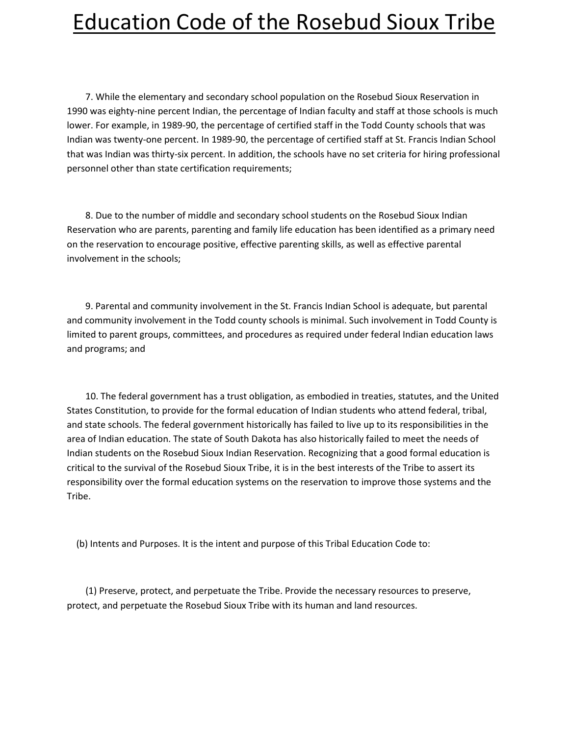7. While the elementary and secondary school population on the Rosebud Sioux Reservation in 1990 was eighty-nine percent Indian, the percentage of Indian faculty and staff at those schools is much lower. For example, in 1989-90, the percentage of certified staff in the Todd County schools that was Indian was twenty-one percent. In 1989-90, the percentage of certified staff at St. Francis Indian School that was Indian was thirty-six percent. In addition, the schools have no set criteria for hiring professional personnel other than state certification requirements;

 8. Due to the number of middle and secondary school students on the Rosebud Sioux Indian Reservation who are parents, parenting and family life education has been identified as a primary need on the reservation to encourage positive, effective parenting skills, as well as effective parental involvement in the schools;

 9. Parental and community involvement in the St. Francis Indian School is adequate, but parental and community involvement in the Todd county schools is minimal. Such involvement in Todd County is limited to parent groups, committees, and procedures as required under federal Indian education laws and programs; and

 10. The federal government has a trust obligation, as embodied in treaties, statutes, and the United States Constitution, to provide for the formal education of Indian students who attend federal, tribal, and state schools. The federal government historically has failed to live up to its responsibilities in the area of Indian education. The state of South Dakota has also historically failed to meet the needs of Indian students on the Rosebud Sioux Indian Reservation. Recognizing that a good formal education is critical to the survival of the Rosebud Sioux Tribe, it is in the best interests of the Tribe to assert its responsibility over the formal education systems on the reservation to improve those systems and the Tribe.

(b) Intents and Purposes. It is the intent and purpose of this Tribal Education Code to:

 (1) Preserve, protect, and perpetuate the Tribe. Provide the necessary resources to preserve, protect, and perpetuate the Rosebud Sioux Tribe with its human and land resources.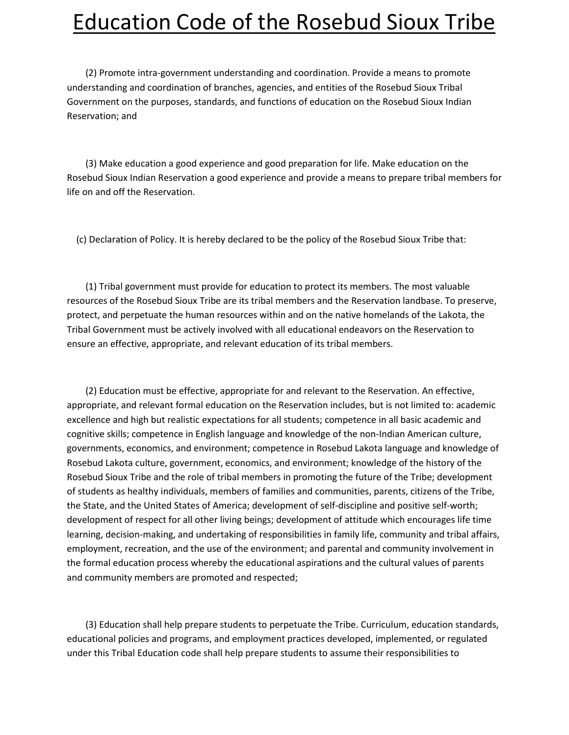(2) Promote intra-government understanding and coordination. Provide a means to promote understanding and coordination of branches, agencies, and entities of the Rosebud Sioux Tribal Government on the purposes, standards, and functions of education on the Rosebud Sioux Indian Reservation; and

 (3) Make education a good experience and good preparation for life. Make education on the Rosebud Sioux Indian Reservation a good experience and provide a means to prepare tribal members for life on and off the Reservation.

(c) Declaration of Policy. It is hereby declared to be the policy of the Rosebud Sioux Tribe that:

 (1) Tribal government must provide for education to protect its members. The most valuable resources of the Rosebud Sioux Tribe are its tribal members and the Reservation landbase. To preserve, protect, and perpetuate the human resources within and on the native homelands of the Lakota, the Tribal Government must be actively involved with all educational endeavors on the Reservation to ensure an effective, appropriate, and relevant education of its tribal members.

 (2) Education must be effective, appropriate for and relevant to the Reservation. An effective, appropriate, and relevant formal education on the Reservation includes, but is not limited to: academic excellence and high but realistic expectations for all students; competence in all basic academic and cognitive skills; competence in English language and knowledge of the non-Indian American culture, governments, economics, and environment; competence in Rosebud Lakota language and knowledge of Rosebud Lakota culture, government, economics, and environment; knowledge of the history of the Rosebud Sioux Tribe and the role of tribal members in promoting the future of the Tribe; development of students as healthy individuals, members of families and communities, parents, citizens of the Tribe, the State, and the United States of America; development of self-discipline and positive self-worth; development of respect for all other living beings; development of attitude which encourages life time learning, decision-making, and undertaking of responsibilities in family life, community and tribal affairs, employment, recreation, and the use of the environment; and parental and community involvement in the formal education process whereby the educational aspirations and the cultural values of parents and community members are promoted and respected;

 (3) Education shall help prepare students to perpetuate the Tribe. Curriculum, education standards, educational policies and programs, and employment practices developed, implemented, or regulated under this Tribal Education code shall help prepare students to assume their responsibilities to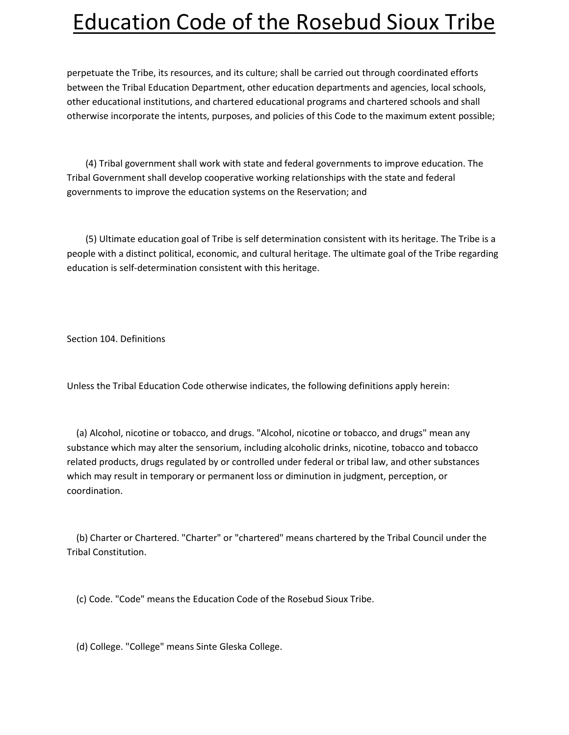perpetuate the Tribe, its resources, and its culture; shall be carried out through coordinated efforts between the Tribal Education Department, other education departments and agencies, local schools, other educational institutions, and chartered educational programs and chartered schools and shall otherwise incorporate the intents, purposes, and policies of this Code to the maximum extent possible;

 (4) Tribal government shall work with state and federal governments to improve education. The Tribal Government shall develop cooperative working relationships with the state and federal governments to improve the education systems on the Reservation; and

 (5) Ultimate education goal of Tribe is self determination consistent with its heritage. The Tribe is a people with a distinct political, economic, and cultural heritage. The ultimate goal of the Tribe regarding education is self-determination consistent with this heritage.

Section 104. Definitions

Unless the Tribal Education Code otherwise indicates, the following definitions apply herein:

 (a) Alcohol, nicotine or tobacco, and drugs. "Alcohol, nicotine or tobacco, and drugs" mean any substance which may alter the sensorium, including alcoholic drinks, nicotine, tobacco and tobacco related products, drugs regulated by or controlled under federal or tribal law, and other substances which may result in temporary or permanent loss or diminution in judgment, perception, or coordination.

 (b) Charter or Chartered. "Charter" or "chartered" means chartered by the Tribal Council under the Tribal Constitution.

(c) Code. "Code" means the Education Code of the Rosebud Sioux Tribe.

(d) College. "College" means Sinte Gleska College.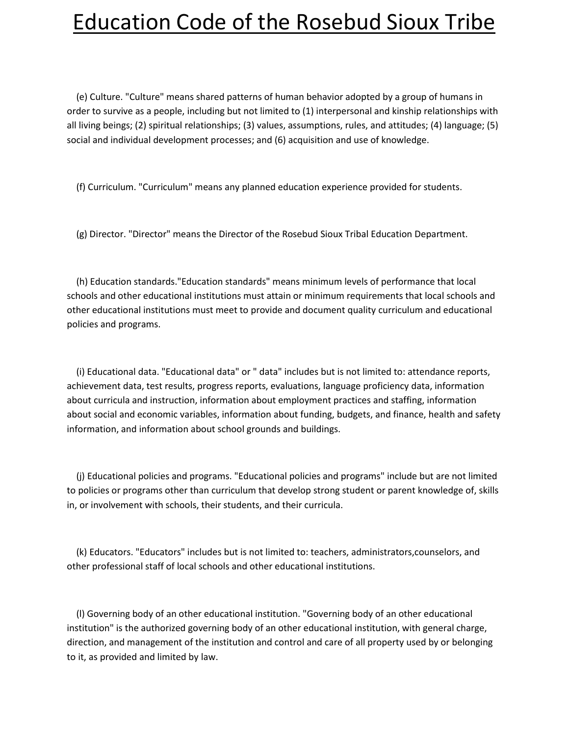(e) Culture. "Culture" means shared patterns of human behavior adopted by a group of humans in order to survive as a people, including but not limited to (1) interpersonal and kinship relationships with all living beings; (2) spiritual relationships; (3) values, assumptions, rules, and attitudes; (4) language; (5) social and individual development processes; and (6) acquisition and use of knowledge.

(f) Curriculum. "Curriculum" means any planned education experience provided for students.

(g) Director. "Director" means the Director of the Rosebud Sioux Tribal Education Department.

 (h) Education standards."Education standards" means minimum levels of performance that local schools and other educational institutions must attain or minimum requirements that local schools and other educational institutions must meet to provide and document quality curriculum and educational policies and programs.

 (i) Educational data. "Educational data" or " data" includes but is not limited to: attendance reports, achievement data, test results, progress reports, evaluations, language proficiency data, information about curricula and instruction, information about employment practices and staffing, information about social and economic variables, information about funding, budgets, and finance, health and safety information, and information about school grounds and buildings.

 (j) Educational policies and programs. "Educational policies and programs" include but are not limited to policies or programs other than curriculum that develop strong student or parent knowledge of, skills in, or involvement with schools, their students, and their curricula.

 (k) Educators. "Educators" includes but is not limited to: teachers, administrators,counselors, and other professional staff of local schools and other educational institutions.

 (l) Governing body of an other educational institution. "Governing body of an other educational institution" is the authorized governing body of an other educational institution, with general charge, direction, and management of the institution and control and care of all property used by or belonging to it, as provided and limited by law.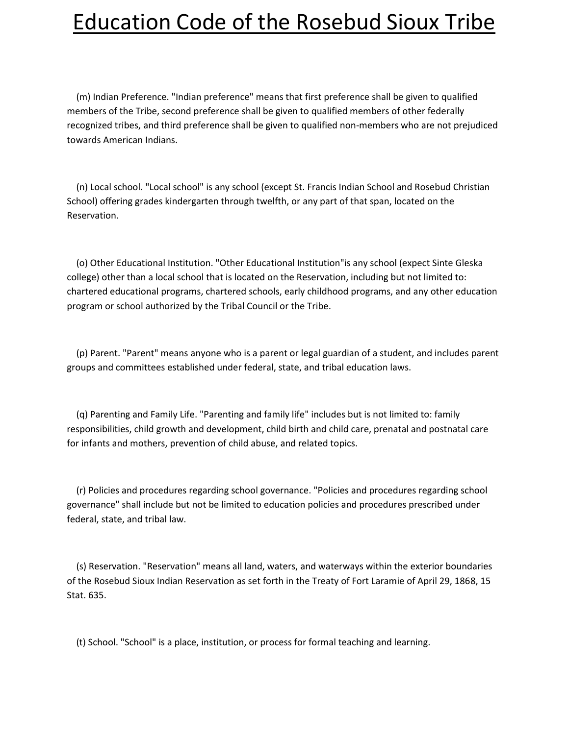(m) Indian Preference. "Indian preference" means that first preference shall be given to qualified members of the Tribe, second preference shall be given to qualified members of other federally recognized tribes, and third preference shall be given to qualified non-members who are not prejudiced towards American Indians.

 (n) Local school. "Local school" is any school (except St. Francis Indian School and Rosebud Christian School) offering grades kindergarten through twelfth, or any part of that span, located on the Reservation.

 (o) Other Educational Institution. "Other Educational Institution"is any school (expect Sinte Gleska college) other than a local school that is located on the Reservation, including but not limited to: chartered educational programs, chartered schools, early childhood programs, and any other education program or school authorized by the Tribal Council or the Tribe.

 (p) Parent. "Parent" means anyone who is a parent or legal guardian of a student, and includes parent groups and committees established under federal, state, and tribal education laws.

 (q) Parenting and Family Life. "Parenting and family life" includes but is not limited to: family responsibilities, child growth and development, child birth and child care, prenatal and postnatal care for infants and mothers, prevention of child abuse, and related topics.

 (r) Policies and procedures regarding school governance. "Policies and procedures regarding school governance" shall include but not be limited to education policies and procedures prescribed under federal, state, and tribal law.

 (s) Reservation. "Reservation" means all land, waters, and waterways within the exterior boundaries of the Rosebud Sioux Indian Reservation as set forth in the Treaty of Fort Laramie of April 29, 1868, 15 Stat. 635.

(t) School. "School" is a place, institution, or process for formal teaching and learning.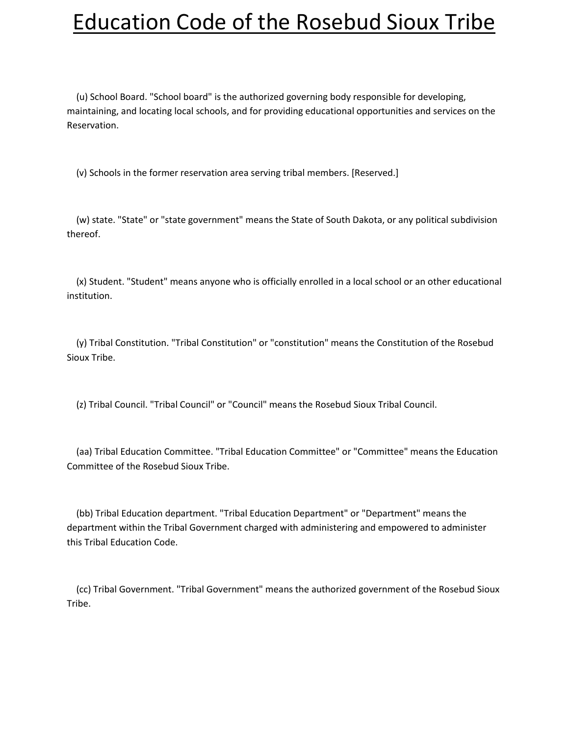(u) School Board. "School board" is the authorized governing body responsible for developing, maintaining, and locating local schools, and for providing educational opportunities and services on the Reservation.

(v) Schools in the former reservation area serving tribal members. [Reserved.]

 (w) state. "State" or "state government" means the State of South Dakota, or any political subdivision thereof.

 (x) Student. "Student" means anyone who is officially enrolled in a local school or an other educational institution.

 (y) Tribal Constitution. "Tribal Constitution" or "constitution" means the Constitution of the Rosebud Sioux Tribe.

(z) Tribal Council. "Tribal Council" or "Council" means the Rosebud Sioux Tribal Council.

 (aa) Tribal Education Committee. "Tribal Education Committee" or "Committee" means the Education Committee of the Rosebud Sioux Tribe.

 (bb) Tribal Education department. "Tribal Education Department" or "Department" means the department within the Tribal Government charged with administering and empowered to administer this Tribal Education Code.

 (cc) Tribal Government. "Tribal Government" means the authorized government of the Rosebud Sioux Tribe.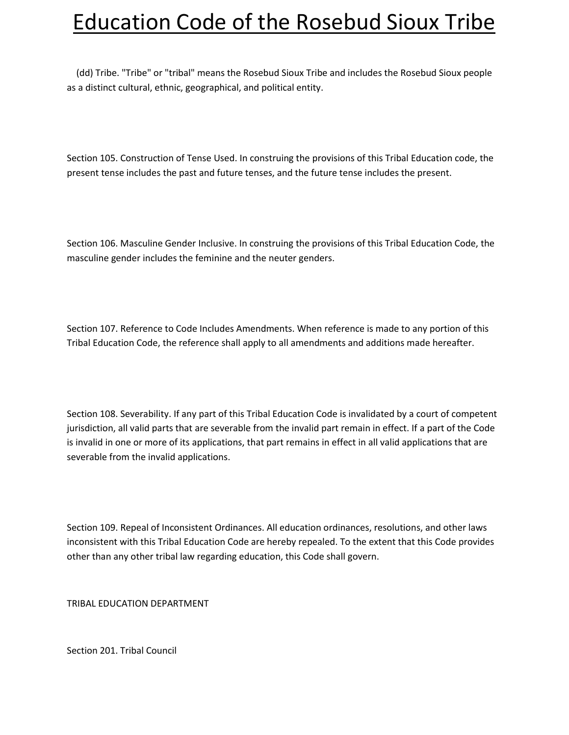(dd) Tribe. "Tribe" or "tribal" means the Rosebud Sioux Tribe and includes the Rosebud Sioux people as a distinct cultural, ethnic, geographical, and political entity.

Section 105. Construction of Tense Used. In construing the provisions of this Tribal Education code, the present tense includes the past and future tenses, and the future tense includes the present.

Section 106. Masculine Gender Inclusive. In construing the provisions of this Tribal Education Code, the masculine gender includes the feminine and the neuter genders.

Section 107. Reference to Code Includes Amendments. When reference is made to any portion of this Tribal Education Code, the reference shall apply to all amendments and additions made hereafter.

Section 108. Severability. If any part of this Tribal Education Code is invalidated by a court of competent jurisdiction, all valid parts that are severable from the invalid part remain in effect. If a part of the Code is invalid in one or more of its applications, that part remains in effect in all valid applications that are severable from the invalid applications.

Section 109. Repeal of Inconsistent Ordinances. All education ordinances, resolutions, and other laws inconsistent with this Tribal Education Code are hereby repealed. To the extent that this Code provides other than any other tribal law regarding education, this Code shall govern.

TRIBAL EDUCATION DEPARTMENT

Section 201. Tribal Council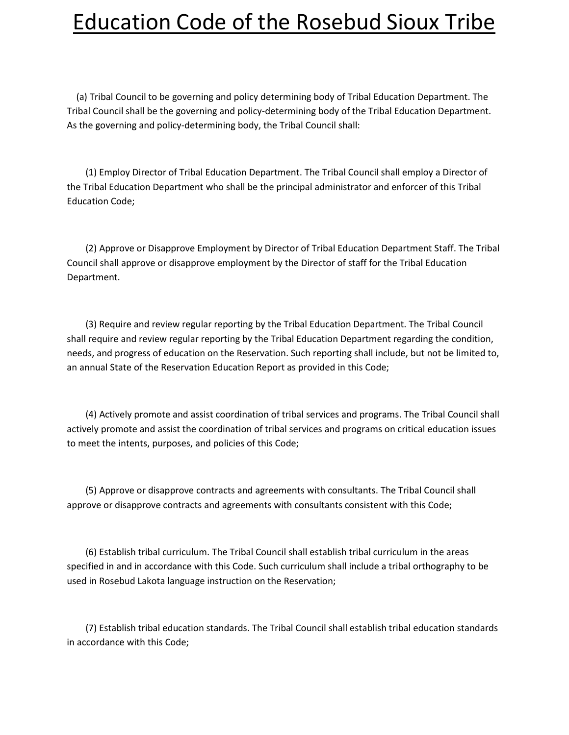(a) Tribal Council to be governing and policy determining body of Tribal Education Department. The Tribal Council shall be the governing and policy-determining body of the Tribal Education Department. As the governing and policy-determining body, the Tribal Council shall:

 (1) Employ Director of Tribal Education Department. The Tribal Council shall employ a Director of the Tribal Education Department who shall be the principal administrator and enforcer of this Tribal Education Code;

 (2) Approve or Disapprove Employment by Director of Tribal Education Department Staff. The Tribal Council shall approve or disapprove employment by the Director of staff for the Tribal Education Department.

 (3) Require and review regular reporting by the Tribal Education Department. The Tribal Council shall require and review regular reporting by the Tribal Education Department regarding the condition, needs, and progress of education on the Reservation. Such reporting shall include, but not be limited to, an annual State of the Reservation Education Report as provided in this Code;

 (4) Actively promote and assist coordination of tribal services and programs. The Tribal Council shall actively promote and assist the coordination of tribal services and programs on critical education issues to meet the intents, purposes, and policies of this Code;

 (5) Approve or disapprove contracts and agreements with consultants. The Tribal Council shall approve or disapprove contracts and agreements with consultants consistent with this Code;

 (6) Establish tribal curriculum. The Tribal Council shall establish tribal curriculum in the areas specified in and in accordance with this Code. Such curriculum shall include a tribal orthography to be used in Rosebud Lakota language instruction on the Reservation;

 (7) Establish tribal education standards. The Tribal Council shall establish tribal education standards in accordance with this Code;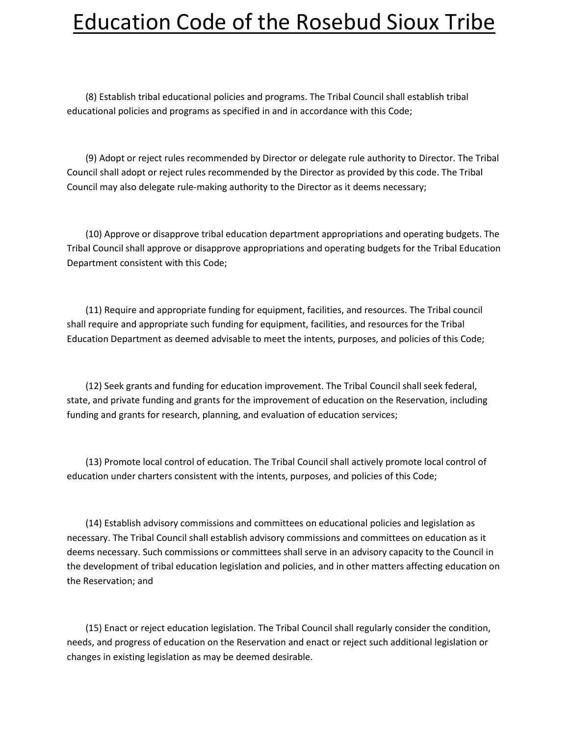(8) Establish tribal educational policies and programs. The Tribal Council shall establish tribal educational policies and programs as specified in and in accordance with this Code;

 (9) Adopt or reject rules recommended by Director or delegate rule authority to Director. The Tribal Council shall adopt or reject rules recommended by the Director as provided by this code. The Tribal Council may also delegate rule-making authority to the Director as it deems necessary;

 (10) Approve or disapprove tribal education department appropriations and operating budgets. The Tribal Council shall approve or disapprove appropriations and operating budgets for the Tribal Education Department consistent with this Code;

 (11) Require and appropriate funding for equipment, facilities, and resources. The Tribal council shall require and appropriate such funding for equipment, facilities, and resources for the Tribal Education Department as deemed advisable to meet the intents, purposes, and policies of this Code;

 (12) Seek grants and funding for education improvement. The Tribal Council shall seek federal, state, and private funding and grants for the improvement of education on the Reservation, including funding and grants for research, planning, and evaluation of education services;

 (13) Promote local control of education. The Tribal Council shall actively promote local control of education under charters consistent with the intents, purposes, and policies of this Code;

 (14) Establish advisory commissions and committees on educational policies and legislation as necessary. The Tribal Council shall establish advisory commissions and committees on education as it deems necessary. Such commissions or committees shall serve in an advisory capacity to the Council in the development of tribal education legislation and policies, and in other matters affecting education on the Reservation; and

 (15) Enact or reject education legislation. The Tribal Council shall regularly consider the condition, needs, and progress of education on the Reservation and enact or reject such additional legislation or changes in existing legislation as may be deemed desirable.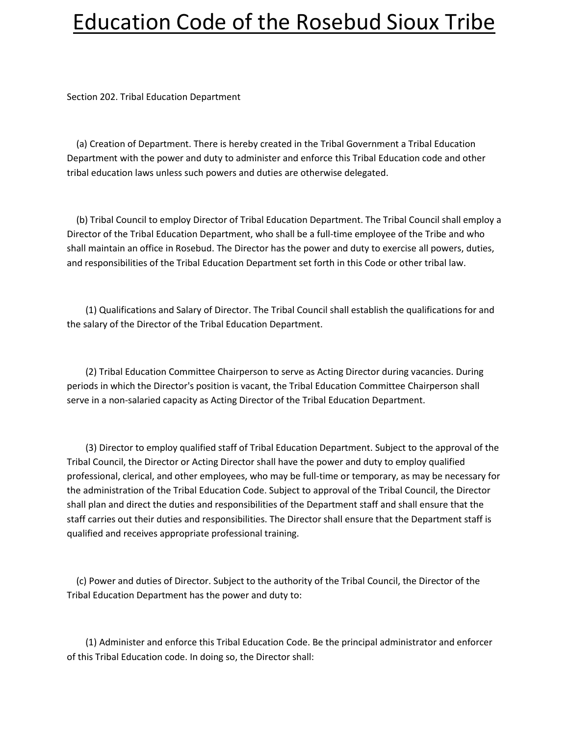Section 202. Tribal Education Department

 (a) Creation of Department. There is hereby created in the Tribal Government a Tribal Education Department with the power and duty to administer and enforce this Tribal Education code and other tribal education laws unless such powers and duties are otherwise delegated.

 (b) Tribal Council to employ Director of Tribal Education Department. The Tribal Council shall employ a Director of the Tribal Education Department, who shall be a full-time employee of the Tribe and who shall maintain an office in Rosebud. The Director has the power and duty to exercise all powers, duties, and responsibilities of the Tribal Education Department set forth in this Code or other tribal law.

 (1) Qualifications and Salary of Director. The Tribal Council shall establish the qualifications for and the salary of the Director of the Tribal Education Department.

 (2) Tribal Education Committee Chairperson to serve as Acting Director during vacancies. During periods in which the Director's position is vacant, the Tribal Education Committee Chairperson shall serve in a non-salaried capacity as Acting Director of the Tribal Education Department.

 (3) Director to employ qualified staff of Tribal Education Department. Subject to the approval of the Tribal Council, the Director or Acting Director shall have the power and duty to employ qualified professional, clerical, and other employees, who may be full-time or temporary, as may be necessary for the administration of the Tribal Education Code. Subject to approval of the Tribal Council, the Director shall plan and direct the duties and responsibilities of the Department staff and shall ensure that the staff carries out their duties and responsibilities. The Director shall ensure that the Department staff is qualified and receives appropriate professional training.

 (c) Power and duties of Director. Subject to the authority of the Tribal Council, the Director of the Tribal Education Department has the power and duty to:

 (1) Administer and enforce this Tribal Education Code. Be the principal administrator and enforcer of this Tribal Education code. In doing so, the Director shall: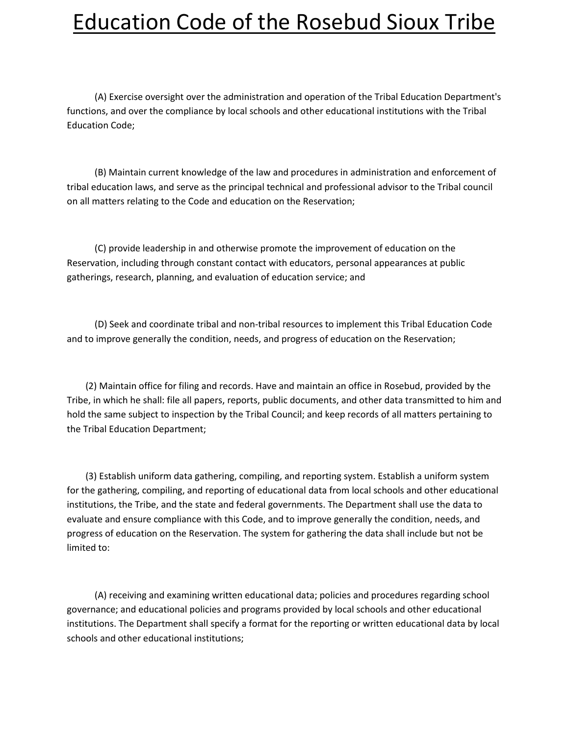(A) Exercise oversight over the administration and operation of the Tribal Education Department's functions, and over the compliance by local schools and other educational institutions with the Tribal Education Code;

 (B) Maintain current knowledge of the law and procedures in administration and enforcement of tribal education laws, and serve as the principal technical and professional advisor to the Tribal council on all matters relating to the Code and education on the Reservation;

 (C) provide leadership in and otherwise promote the improvement of education on the Reservation, including through constant contact with educators, personal appearances at public gatherings, research, planning, and evaluation of education service; and

 (D) Seek and coordinate tribal and non-tribal resources to implement this Tribal Education Code and to improve generally the condition, needs, and progress of education on the Reservation;

 (2) Maintain office for filing and records. Have and maintain an office in Rosebud, provided by the Tribe, in which he shall: file all papers, reports, public documents, and other data transmitted to him and hold the same subject to inspection by the Tribal Council; and keep records of all matters pertaining to the Tribal Education Department;

 (3) Establish uniform data gathering, compiling, and reporting system. Establish a uniform system for the gathering, compiling, and reporting of educational data from local schools and other educational institutions, the Tribe, and the state and federal governments. The Department shall use the data to evaluate and ensure compliance with this Code, and to improve generally the condition, needs, and progress of education on the Reservation. The system for gathering the data shall include but not be limited to:

 (A) receiving and examining written educational data; policies and procedures regarding school governance; and educational policies and programs provided by local schools and other educational institutions. The Department shall specify a format for the reporting or written educational data by local schools and other educational institutions;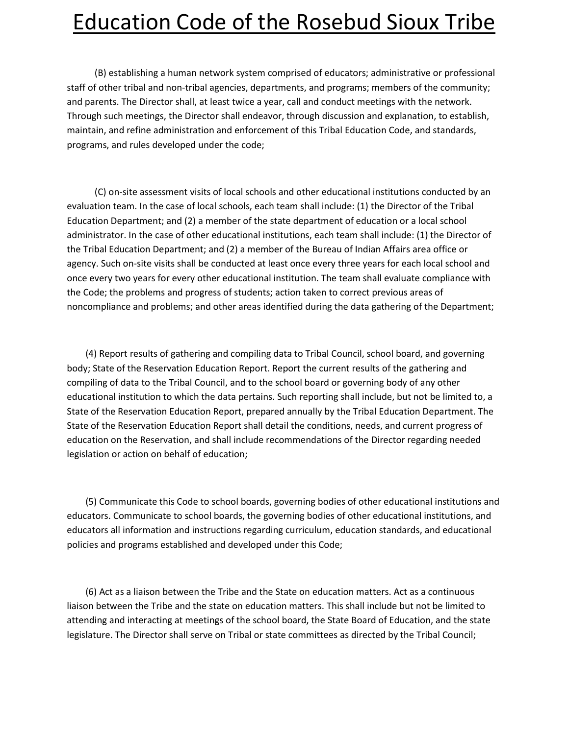(B) establishing a human network system comprised of educators; administrative or professional staff of other tribal and non-tribal agencies, departments, and programs; members of the community; and parents. The Director shall, at least twice a year, call and conduct meetings with the network. Through such meetings, the Director shall endeavor, through discussion and explanation, to establish, maintain, and refine administration and enforcement of this Tribal Education Code, and standards, programs, and rules developed under the code;

 (C) on-site assessment visits of local schools and other educational institutions conducted by an evaluation team. In the case of local schools, each team shall include: (1) the Director of the Tribal Education Department; and (2) a member of the state department of education or a local school administrator. In the case of other educational institutions, each team shall include: (1) the Director of the Tribal Education Department; and (2) a member of the Bureau of Indian Affairs area office or agency. Such on-site visits shall be conducted at least once every three years for each local school and once every two years for every other educational institution. The team shall evaluate compliance with the Code; the problems and progress of students; action taken to correct previous areas of noncompliance and problems; and other areas identified during the data gathering of the Department;

 (4) Report results of gathering and compiling data to Tribal Council, school board, and governing body; State of the Reservation Education Report. Report the current results of the gathering and compiling of data to the Tribal Council, and to the school board or governing body of any other educational institution to which the data pertains. Such reporting shall include, but not be limited to, a State of the Reservation Education Report, prepared annually by the Tribal Education Department. The State of the Reservation Education Report shall detail the conditions, needs, and current progress of education on the Reservation, and shall include recommendations of the Director regarding needed legislation or action on behalf of education;

 (5) Communicate this Code to school boards, governing bodies of other educational institutions and educators. Communicate to school boards, the governing bodies of other educational institutions, and educators all information and instructions regarding curriculum, education standards, and educational policies and programs established and developed under this Code;

 (6) Act as a liaison between the Tribe and the State on education matters. Act as a continuous liaison between the Tribe and the state on education matters. This shall include but not be limited to attending and interacting at meetings of the school board, the State Board of Education, and the state legislature. The Director shall serve on Tribal or state committees as directed by the Tribal Council;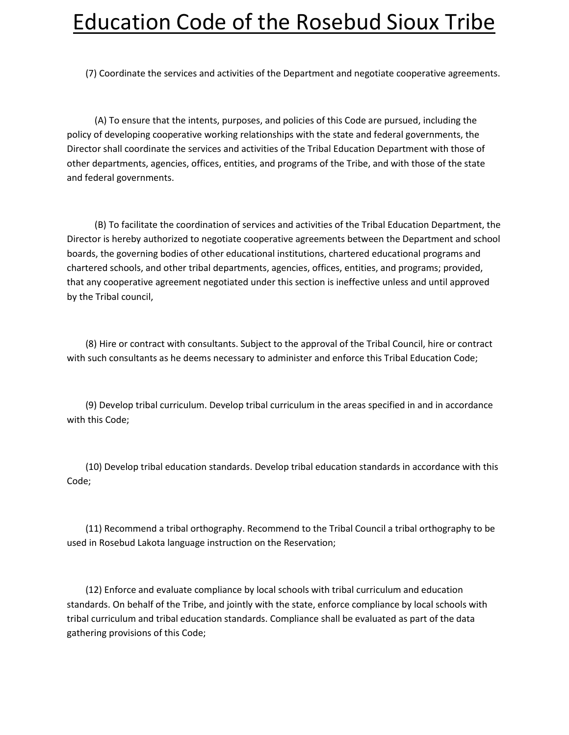(7) Coordinate the services and activities of the Department and negotiate cooperative agreements.

 (A) To ensure that the intents, purposes, and policies of this Code are pursued, including the policy of developing cooperative working relationships with the state and federal governments, the Director shall coordinate the services and activities of the Tribal Education Department with those of other departments, agencies, offices, entities, and programs of the Tribe, and with those of the state and federal governments.

 (B) To facilitate the coordination of services and activities of the Tribal Education Department, the Director is hereby authorized to negotiate cooperative agreements between the Department and school boards, the governing bodies of other educational institutions, chartered educational programs and chartered schools, and other tribal departments, agencies, offices, entities, and programs; provided, that any cooperative agreement negotiated under this section is ineffective unless and until approved by the Tribal council,

 (8) Hire or contract with consultants. Subject to the approval of the Tribal Council, hire or contract with such consultants as he deems necessary to administer and enforce this Tribal Education Code;

 (9) Develop tribal curriculum. Develop tribal curriculum in the areas specified in and in accordance with this Code;

 (10) Develop tribal education standards. Develop tribal education standards in accordance with this Code;

 (11) Recommend a tribal orthography. Recommend to the Tribal Council a tribal orthography to be used in Rosebud Lakota language instruction on the Reservation;

 (12) Enforce and evaluate compliance by local schools with tribal curriculum and education standards. On behalf of the Tribe, and jointly with the state, enforce compliance by local schools with tribal curriculum and tribal education standards. Compliance shall be evaluated as part of the data gathering provisions of this Code;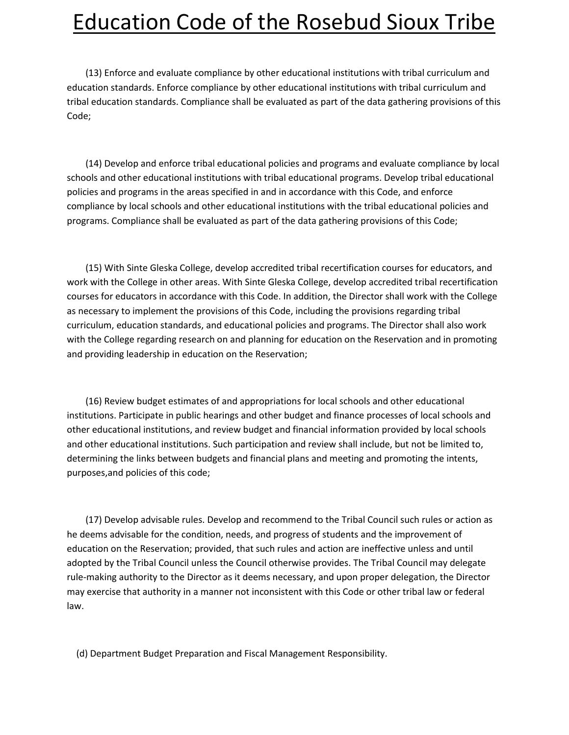(13) Enforce and evaluate compliance by other educational institutions with tribal curriculum and education standards. Enforce compliance by other educational institutions with tribal curriculum and tribal education standards. Compliance shall be evaluated as part of the data gathering provisions of this Code;

 (14) Develop and enforce tribal educational policies and programs and evaluate compliance by local schools and other educational institutions with tribal educational programs. Develop tribal educational policies and programs in the areas specified in and in accordance with this Code, and enforce compliance by local schools and other educational institutions with the tribal educational policies and programs. Compliance shall be evaluated as part of the data gathering provisions of this Code;

 (15) With Sinte Gleska College, develop accredited tribal recertification courses for educators, and work with the College in other areas. With Sinte Gleska College, develop accredited tribal recertification courses for educators in accordance with this Code. In addition, the Director shall work with the College as necessary to implement the provisions of this Code, including the provisions regarding tribal curriculum, education standards, and educational policies and programs. The Director shall also work with the College regarding research on and planning for education on the Reservation and in promoting and providing leadership in education on the Reservation;

 (16) Review budget estimates of and appropriations for local schools and other educational institutions. Participate in public hearings and other budget and finance processes of local schools and other educational institutions, and review budget and financial information provided by local schools and other educational institutions. Such participation and review shall include, but not be limited to, determining the links between budgets and financial plans and meeting and promoting the intents, purposes,and policies of this code;

 (17) Develop advisable rules. Develop and recommend to the Tribal Council such rules or action as he deems advisable for the condition, needs, and progress of students and the improvement of education on the Reservation; provided, that such rules and action are ineffective unless and until adopted by the Tribal Council unless the Council otherwise provides. The Tribal Council may delegate rule-making authority to the Director as it deems necessary, and upon proper delegation, the Director may exercise that authority in a manner not inconsistent with this Code or other tribal law or federal law.

(d) Department Budget Preparation and Fiscal Management Responsibility.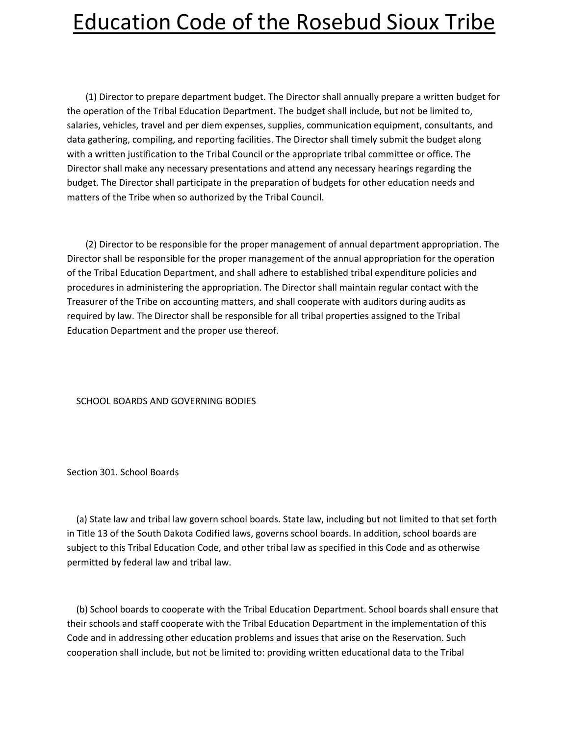(1) Director to prepare department budget. The Director shall annually prepare a written budget for the operation of the Tribal Education Department. The budget shall include, but not be limited to, salaries, vehicles, travel and per diem expenses, supplies, communication equipment, consultants, and data gathering, compiling, and reporting facilities. The Director shall timely submit the budget along with a written justification to the Tribal Council or the appropriate tribal committee or office. The Director shall make any necessary presentations and attend any necessary hearings regarding the budget. The Director shall participate in the preparation of budgets for other education needs and matters of the Tribe when so authorized by the Tribal Council.

 (2) Director to be responsible for the proper management of annual department appropriation. The Director shall be responsible for the proper management of the annual appropriation for the operation of the Tribal Education Department, and shall adhere to established tribal expenditure policies and procedures in administering the appropriation. The Director shall maintain regular contact with the Treasurer of the Tribe on accounting matters, and shall cooperate with auditors during audits as required by law. The Director shall be responsible for all tribal properties assigned to the Tribal Education Department and the proper use thereof.

#### SCHOOL BOARDS AND GOVERNING BODIES

Section 301. School Boards

 (a) State law and tribal law govern school boards. State law, including but not limited to that set forth in Title 13 of the South Dakota Codified laws, governs school boards. In addition, school boards are subject to this Tribal Education Code, and other tribal law as specified in this Code and as otherwise permitted by federal law and tribal law.

 (b) School boards to cooperate with the Tribal Education Department. School boards shall ensure that their schools and staff cooperate with the Tribal Education Department in the implementation of this Code and in addressing other education problems and issues that arise on the Reservation. Such cooperation shall include, but not be limited to: providing written educational data to the Tribal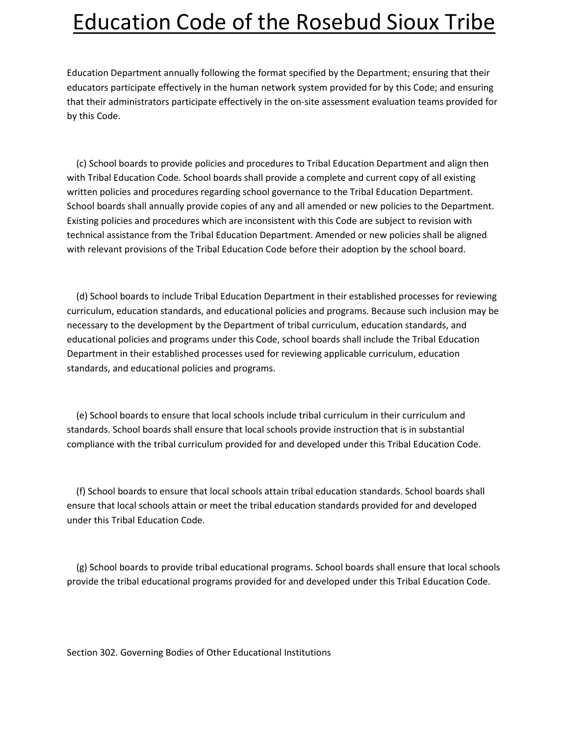Education Department annually following the format specified by the Department; ensuring that their educators participate effectively in the human network system provided for by this Code; and ensuring that their administrators participate effectively in the on-site assessment evaluation teams provided for by this Code.

 (c) School boards to provide policies and procedures to Tribal Education Department and align then with Tribal Education Code. School boards shall provide a complete and current copy of all existing written policies and procedures regarding school governance to the Tribal Education Department. School boards shall annually provide copies of any and all amended or new policies to the Department. Existing policies and procedures which are inconsistent with this Code are subject to revision with technical assistance from the Tribal Education Department. Amended or new policies shall be aligned with relevant provisions of the Tribal Education Code before their adoption by the school board.

 (d) School boards to include Tribal Education Department in their established processes for reviewing curriculum, education standards, and educational policies and programs. Because such inclusion may be necessary to the development by the Department of tribal curriculum, education standards, and educational policies and programs under this Code, school boards shall include the Tribal Education Department in their established processes used for reviewing applicable curriculum, education standards, and educational policies and programs.

 (e) School boards to ensure that local schools include tribal curriculum in their curriculum and standards. School boards shall ensure that local schools provide instruction that is in substantial compliance with the tribal curriculum provided for and developed under this Tribal Education Code.

 (f) School boards to ensure that local schools attain tribal education standards. School boards shall ensure that local schools attain or meet the tribal education standards provided for and developed under this Tribal Education Code.

 (g) School boards to provide tribal educational programs. School boards shall ensure that local schools provide the tribal educational programs provided for and developed under this Tribal Education Code.

Section 302. Governing Bodies of Other Educational Institutions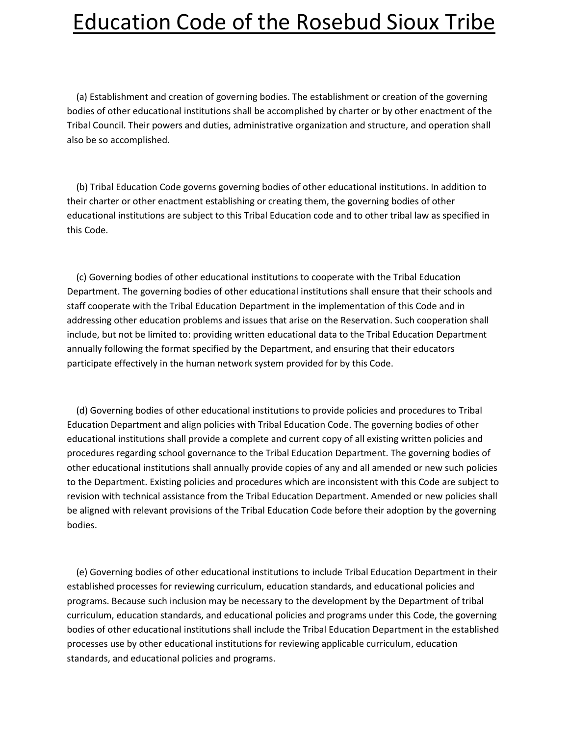(a) Establishment and creation of governing bodies. The establishment or creation of the governing bodies of other educational institutions shall be accomplished by charter or by other enactment of the Tribal Council. Their powers and duties, administrative organization and structure, and operation shall also be so accomplished.

 (b) Tribal Education Code governs governing bodies of other educational institutions. In addition to their charter or other enactment establishing or creating them, the governing bodies of other educational institutions are subject to this Tribal Education code and to other tribal law as specified in this Code.

 (c) Governing bodies of other educational institutions to cooperate with the Tribal Education Department. The governing bodies of other educational institutions shall ensure that their schools and staff cooperate with the Tribal Education Department in the implementation of this Code and in addressing other education problems and issues that arise on the Reservation. Such cooperation shall include, but not be limited to: providing written educational data to the Tribal Education Department annually following the format specified by the Department, and ensuring that their educators participate effectively in the human network system provided for by this Code.

 (d) Governing bodies of other educational institutions to provide policies and procedures to Tribal Education Department and align policies with Tribal Education Code. The governing bodies of other educational institutions shall provide a complete and current copy of all existing written policies and procedures regarding school governance to the Tribal Education Department. The governing bodies of other educational institutions shall annually provide copies of any and all amended or new such policies to the Department. Existing policies and procedures which are inconsistent with this Code are subject to revision with technical assistance from the Tribal Education Department. Amended or new policies shall be aligned with relevant provisions of the Tribal Education Code before their adoption by the governing bodies.

 (e) Governing bodies of other educational institutions to include Tribal Education Department in their established processes for reviewing curriculum, education standards, and educational policies and programs. Because such inclusion may be necessary to the development by the Department of tribal curriculum, education standards, and educational policies and programs under this Code, the governing bodies of other educational institutions shall include the Tribal Education Department in the established processes use by other educational institutions for reviewing applicable curriculum, education standards, and educational policies and programs.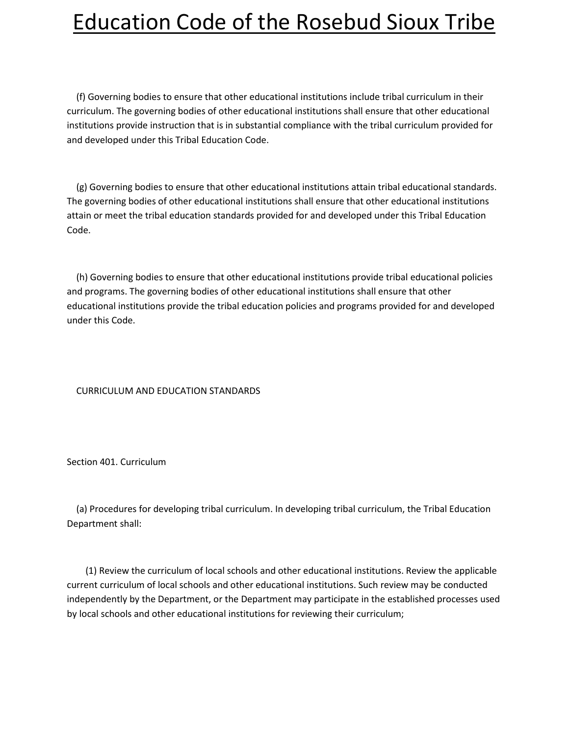(f) Governing bodies to ensure that other educational institutions include tribal curriculum in their curriculum. The governing bodies of other educational institutions shall ensure that other educational institutions provide instruction that is in substantial compliance with the tribal curriculum provided for and developed under this Tribal Education Code.

 (g) Governing bodies to ensure that other educational institutions attain tribal educational standards. The governing bodies of other educational institutions shall ensure that other educational institutions attain or meet the tribal education standards provided for and developed under this Tribal Education Code.

 (h) Governing bodies to ensure that other educational institutions provide tribal educational policies and programs. The governing bodies of other educational institutions shall ensure that other educational institutions provide the tribal education policies and programs provided for and developed under this Code.

#### CURRICULUM AND EDUCATION STANDARDS

Section 401. Curriculum

 (a) Procedures for developing tribal curriculum. In developing tribal curriculum, the Tribal Education Department shall:

 (1) Review the curriculum of local schools and other educational institutions. Review the applicable current curriculum of local schools and other educational institutions. Such review may be conducted independently by the Department, or the Department may participate in the established processes used by local schools and other educational institutions for reviewing their curriculum;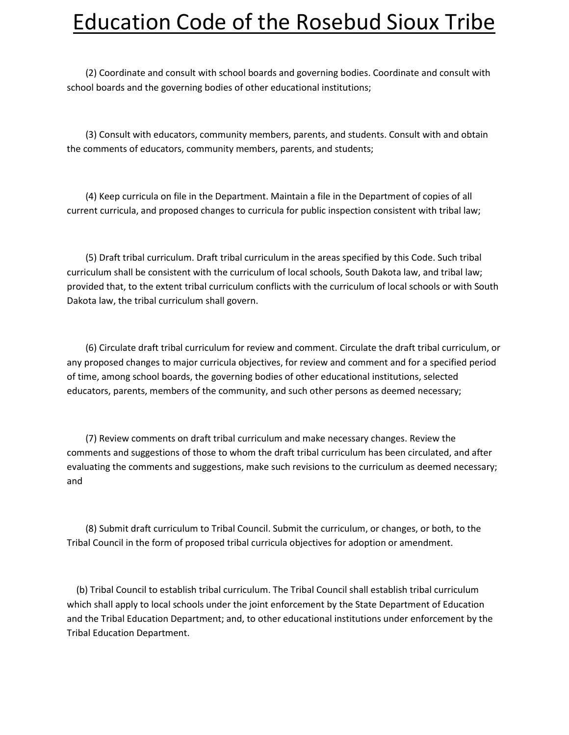(2) Coordinate and consult with school boards and governing bodies. Coordinate and consult with school boards and the governing bodies of other educational institutions;

 (3) Consult with educators, community members, parents, and students. Consult with and obtain the comments of educators, community members, parents, and students;

 (4) Keep curricula on file in the Department. Maintain a file in the Department of copies of all current curricula, and proposed changes to curricula for public inspection consistent with tribal law;

 (5) Draft tribal curriculum. Draft tribal curriculum in the areas specified by this Code. Such tribal curriculum shall be consistent with the curriculum of local schools, South Dakota law, and tribal law; provided that, to the extent tribal curriculum conflicts with the curriculum of local schools or with South Dakota law, the tribal curriculum shall govern.

 (6) Circulate draft tribal curriculum for review and comment. Circulate the draft tribal curriculum, or any proposed changes to major curricula objectives, for review and comment and for a specified period of time, among school boards, the governing bodies of other educational institutions, selected educators, parents, members of the community, and such other persons as deemed necessary;

 (7) Review comments on draft tribal curriculum and make necessary changes. Review the comments and suggestions of those to whom the draft tribal curriculum has been circulated, and after evaluating the comments and suggestions, make such revisions to the curriculum as deemed necessary; and

 (8) Submit draft curriculum to Tribal Council. Submit the curriculum, or changes, or both, to the Tribal Council in the form of proposed tribal curricula objectives for adoption or amendment.

 (b) Tribal Council to establish tribal curriculum. The Tribal Council shall establish tribal curriculum which shall apply to local schools under the joint enforcement by the State Department of Education and the Tribal Education Department; and, to other educational institutions under enforcement by the Tribal Education Department.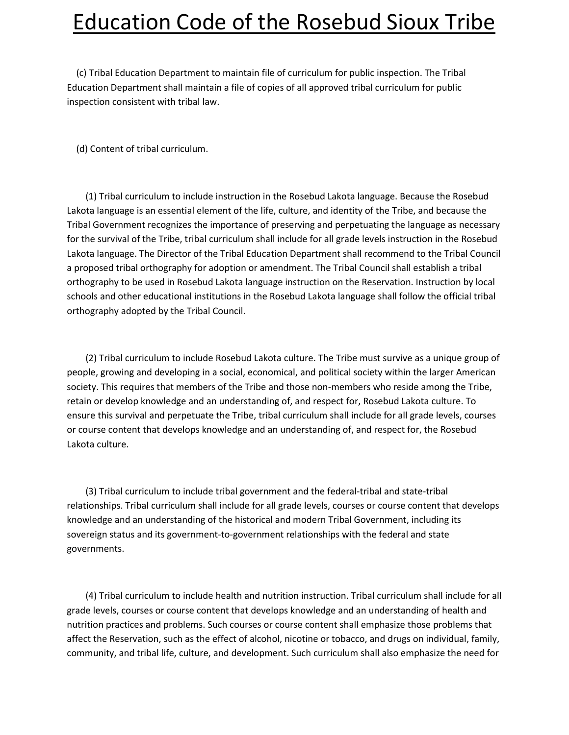(c) Tribal Education Department to maintain file of curriculum for public inspection. The Tribal Education Department shall maintain a file of copies of all approved tribal curriculum for public inspection consistent with tribal law.

(d) Content of tribal curriculum.

 (1) Tribal curriculum to include instruction in the Rosebud Lakota language. Because the Rosebud Lakota language is an essential element of the life, culture, and identity of the Tribe, and because the Tribal Government recognizes the importance of preserving and perpetuating the language as necessary for the survival of the Tribe, tribal curriculum shall include for all grade levels instruction in the Rosebud Lakota language. The Director of the Tribal Education Department shall recommend to the Tribal Council a proposed tribal orthography for adoption or amendment. The Tribal Council shall establish a tribal orthography to be used in Rosebud Lakota language instruction on the Reservation. Instruction by local schools and other educational institutions in the Rosebud Lakota language shall follow the official tribal orthography adopted by the Tribal Council.

 (2) Tribal curriculum to include Rosebud Lakota culture. The Tribe must survive as a unique group of people, growing and developing in a social, economical, and political society within the larger American society. This requires that members of the Tribe and those non-members who reside among the Tribe, retain or develop knowledge and an understanding of, and respect for, Rosebud Lakota culture. To ensure this survival and perpetuate the Tribe, tribal curriculum shall include for all grade levels, courses or course content that develops knowledge and an understanding of, and respect for, the Rosebud Lakota culture.

 (3) Tribal curriculum to include tribal government and the federal-tribal and state-tribal relationships. Tribal curriculum shall include for all grade levels, courses or course content that develops knowledge and an understanding of the historical and modern Tribal Government, including its sovereign status and its government-to-government relationships with the federal and state governments.

 (4) Tribal curriculum to include health and nutrition instruction. Tribal curriculum shall include for all grade levels, courses or course content that develops knowledge and an understanding of health and nutrition practices and problems. Such courses or course content shall emphasize those problems that affect the Reservation, such as the effect of alcohol, nicotine or tobacco, and drugs on individual, family, community, and tribal life, culture, and development. Such curriculum shall also emphasize the need for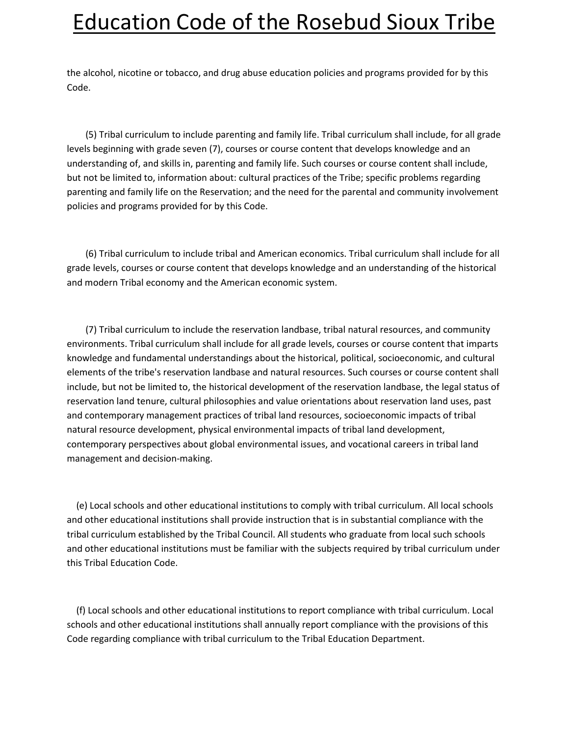the alcohol, nicotine or tobacco, and drug abuse education policies and programs provided for by this Code.

 (5) Tribal curriculum to include parenting and family life. Tribal curriculum shall include, for all grade levels beginning with grade seven (7), courses or course content that develops knowledge and an understanding of, and skills in, parenting and family life. Such courses or course content shall include, but not be limited to, information about: cultural practices of the Tribe; specific problems regarding parenting and family life on the Reservation; and the need for the parental and community involvement policies and programs provided for by this Code.

 (6) Tribal curriculum to include tribal and American economics. Tribal curriculum shall include for all grade levels, courses or course content that develops knowledge and an understanding of the historical and modern Tribal economy and the American economic system.

 (7) Tribal curriculum to include the reservation landbase, tribal natural resources, and community environments. Tribal curriculum shall include for all grade levels, courses or course content that imparts knowledge and fundamental understandings about the historical, political, socioeconomic, and cultural elements of the tribe's reservation landbase and natural resources. Such courses or course content shall include, but not be limited to, the historical development of the reservation landbase, the legal status of reservation land tenure, cultural philosophies and value orientations about reservation land uses, past and contemporary management practices of tribal land resources, socioeconomic impacts of tribal natural resource development, physical environmental impacts of tribal land development, contemporary perspectives about global environmental issues, and vocational careers in tribal land management and decision-making.

 (e) Local schools and other educational institutions to comply with tribal curriculum. All local schools and other educational institutions shall provide instruction that is in substantial compliance with the tribal curriculum established by the Tribal Council. All students who graduate from local such schools and other educational institutions must be familiar with the subjects required by tribal curriculum under this Tribal Education Code.

 (f) Local schools and other educational institutions to report compliance with tribal curriculum. Local schools and other educational institutions shall annually report compliance with the provisions of this Code regarding compliance with tribal curriculum to the Tribal Education Department.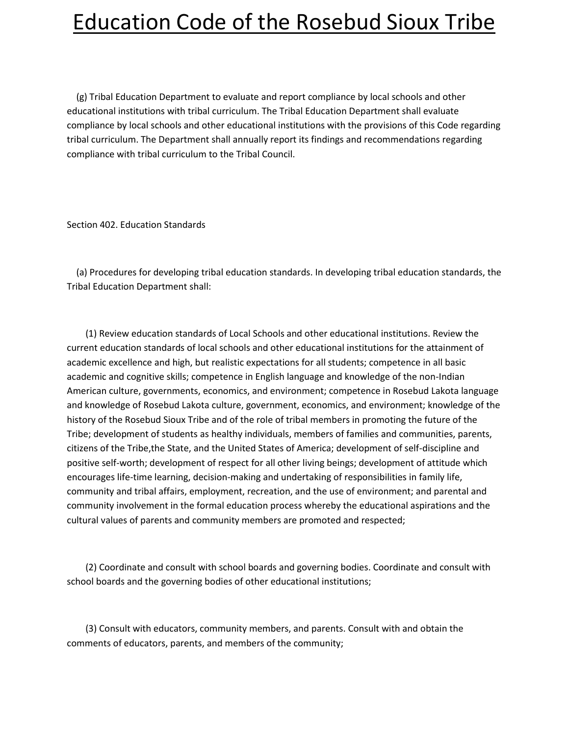(g) Tribal Education Department to evaluate and report compliance by local schools and other educational institutions with tribal curriculum. The Tribal Education Department shall evaluate compliance by local schools and other educational institutions with the provisions of this Code regarding tribal curriculum. The Department shall annually report its findings and recommendations regarding compliance with tribal curriculum to the Tribal Council.

Section 402. Education Standards

 (a) Procedures for developing tribal education standards. In developing tribal education standards, the Tribal Education Department shall:

 (1) Review education standards of Local Schools and other educational institutions. Review the current education standards of local schools and other educational institutions for the attainment of academic excellence and high, but realistic expectations for all students; competence in all basic academic and cognitive skills; competence in English language and knowledge of the non-Indian American culture, governments, economics, and environment; competence in Rosebud Lakota language and knowledge of Rosebud Lakota culture, government, economics, and environment; knowledge of the history of the Rosebud Sioux Tribe and of the role of tribal members in promoting the future of the Tribe; development of students as healthy individuals, members of families and communities, parents, citizens of the Tribe,the State, and the United States of America; development of self-discipline and positive self-worth; development of respect for all other living beings; development of attitude which encourages life-time learning, decision-making and undertaking of responsibilities in family life, community and tribal affairs, employment, recreation, and the use of environment; and parental and community involvement in the formal education process whereby the educational aspirations and the cultural values of parents and community members are promoted and respected;

 (2) Coordinate and consult with school boards and governing bodies. Coordinate and consult with school boards and the governing bodies of other educational institutions;

 (3) Consult with educators, community members, and parents. Consult with and obtain the comments of educators, parents, and members of the community;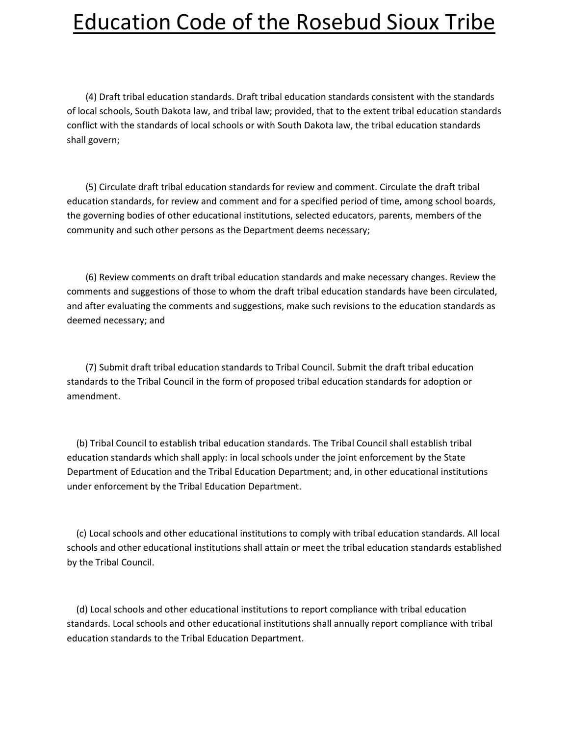(4) Draft tribal education standards. Draft tribal education standards consistent with the standards of local schools, South Dakota law, and tribal law; provided, that to the extent tribal education standards conflict with the standards of local schools or with South Dakota law, the tribal education standards shall govern;

 (5) Circulate draft tribal education standards for review and comment. Circulate the draft tribal education standards, for review and comment and for a specified period of time, among school boards, the governing bodies of other educational institutions, selected educators, parents, members of the community and such other persons as the Department deems necessary;

 (6) Review comments on draft tribal education standards and make necessary changes. Review the comments and suggestions of those to whom the draft tribal education standards have been circulated, and after evaluating the comments and suggestions, make such revisions to the education standards as deemed necessary; and

 (7) Submit draft tribal education standards to Tribal Council. Submit the draft tribal education standards to the Tribal Council in the form of proposed tribal education standards for adoption or amendment.

 (b) Tribal Council to establish tribal education standards. The Tribal Council shall establish tribal education standards which shall apply: in local schools under the joint enforcement by the State Department of Education and the Tribal Education Department; and, in other educational institutions under enforcement by the Tribal Education Department.

 (c) Local schools and other educational institutions to comply with tribal education standards. All local schools and other educational institutions shall attain or meet the tribal education standards established by the Tribal Council.

 (d) Local schools and other educational institutions to report compliance with tribal education standards. Local schools and other educational institutions shall annually report compliance with tribal education standards to the Tribal Education Department.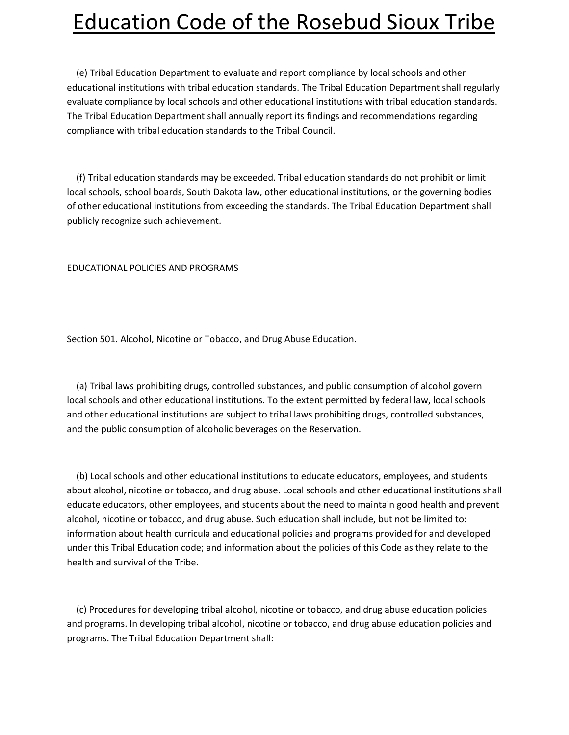(e) Tribal Education Department to evaluate and report compliance by local schools and other educational institutions with tribal education standards. The Tribal Education Department shall regularly evaluate compliance by local schools and other educational institutions with tribal education standards. The Tribal Education Department shall annually report its findings and recommendations regarding compliance with tribal education standards to the Tribal Council.

 (f) Tribal education standards may be exceeded. Tribal education standards do not prohibit or limit local schools, school boards, South Dakota law, other educational institutions, or the governing bodies of other educational institutions from exceeding the standards. The Tribal Education Department shall publicly recognize such achievement.

EDUCATIONAL POLICIES AND PROGRAMS

Section 501. Alcohol, Nicotine or Tobacco, and Drug Abuse Education.

 (a) Tribal laws prohibiting drugs, controlled substances, and public consumption of alcohol govern local schools and other educational institutions. To the extent permitted by federal law, local schools and other educational institutions are subject to tribal laws prohibiting drugs, controlled substances, and the public consumption of alcoholic beverages on the Reservation.

 (b) Local schools and other educational institutions to educate educators, employees, and students about alcohol, nicotine or tobacco, and drug abuse. Local schools and other educational institutions shall educate educators, other employees, and students about the need to maintain good health and prevent alcohol, nicotine or tobacco, and drug abuse. Such education shall include, but not be limited to: information about health curricula and educational policies and programs provided for and developed under this Tribal Education code; and information about the policies of this Code as they relate to the health and survival of the Tribe.

 (c) Procedures for developing tribal alcohol, nicotine or tobacco, and drug abuse education policies and programs. In developing tribal alcohol, nicotine or tobacco, and drug abuse education policies and programs. The Tribal Education Department shall: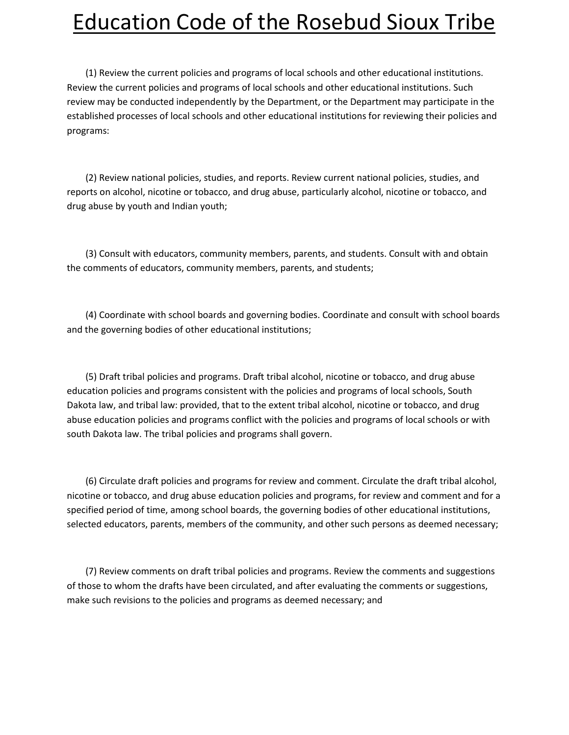(1) Review the current policies and programs of local schools and other educational institutions. Review the current policies and programs of local schools and other educational institutions. Such review may be conducted independently by the Department, or the Department may participate in the established processes of local schools and other educational institutions for reviewing their policies and programs:

 (2) Review national policies, studies, and reports. Review current national policies, studies, and reports on alcohol, nicotine or tobacco, and drug abuse, particularly alcohol, nicotine or tobacco, and drug abuse by youth and Indian youth;

 (3) Consult with educators, community members, parents, and students. Consult with and obtain the comments of educators, community members, parents, and students;

 (4) Coordinate with school boards and governing bodies. Coordinate and consult with school boards and the governing bodies of other educational institutions;

 (5) Draft tribal policies and programs. Draft tribal alcohol, nicotine or tobacco, and drug abuse education policies and programs consistent with the policies and programs of local schools, South Dakota law, and tribal law: provided, that to the extent tribal alcohol, nicotine or tobacco, and drug abuse education policies and programs conflict with the policies and programs of local schools or with south Dakota law. The tribal policies and programs shall govern.

 (6) Circulate draft policies and programs for review and comment. Circulate the draft tribal alcohol, nicotine or tobacco, and drug abuse education policies and programs, for review and comment and for a specified period of time, among school boards, the governing bodies of other educational institutions, selected educators, parents, members of the community, and other such persons as deemed necessary;

 (7) Review comments on draft tribal policies and programs. Review the comments and suggestions of those to whom the drafts have been circulated, and after evaluating the comments or suggestions, make such revisions to the policies and programs as deemed necessary; and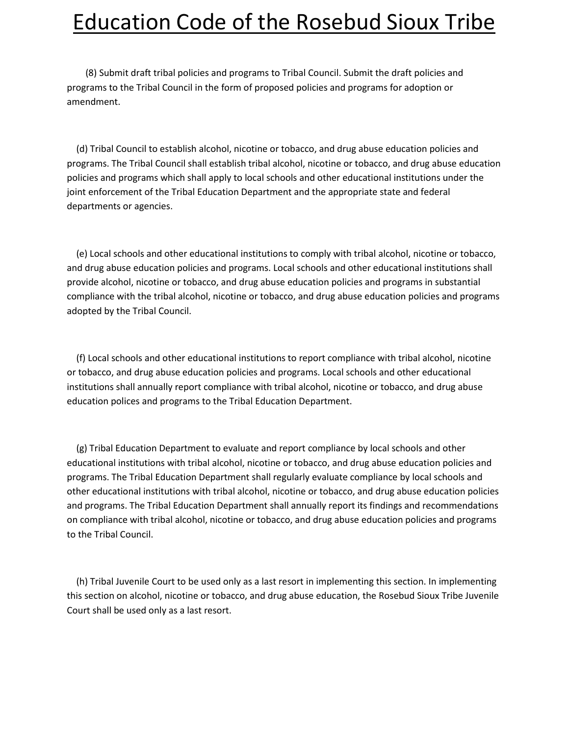(8) Submit draft tribal policies and programs to Tribal Council. Submit the draft policies and programs to the Tribal Council in the form of proposed policies and programs for adoption or amendment.

 (d) Tribal Council to establish alcohol, nicotine or tobacco, and drug abuse education policies and programs. The Tribal Council shall establish tribal alcohol, nicotine or tobacco, and drug abuse education policies and programs which shall apply to local schools and other educational institutions under the joint enforcement of the Tribal Education Department and the appropriate state and federal departments or agencies.

 (e) Local schools and other educational institutions to comply with tribal alcohol, nicotine or tobacco, and drug abuse education policies and programs. Local schools and other educational institutions shall provide alcohol, nicotine or tobacco, and drug abuse education policies and programs in substantial compliance with the tribal alcohol, nicotine or tobacco, and drug abuse education policies and programs adopted by the Tribal Council.

 (f) Local schools and other educational institutions to report compliance with tribal alcohol, nicotine or tobacco, and drug abuse education policies and programs. Local schools and other educational institutions shall annually report compliance with tribal alcohol, nicotine or tobacco, and drug abuse education polices and programs to the Tribal Education Department.

 (g) Tribal Education Department to evaluate and report compliance by local schools and other educational institutions with tribal alcohol, nicotine or tobacco, and drug abuse education policies and programs. The Tribal Education Department shall regularly evaluate compliance by local schools and other educational institutions with tribal alcohol, nicotine or tobacco, and drug abuse education policies and programs. The Tribal Education Department shall annually report its findings and recommendations on compliance with tribal alcohol, nicotine or tobacco, and drug abuse education policies and programs to the Tribal Council.

 (h) Tribal Juvenile Court to be used only as a last resort in implementing this section. In implementing this section on alcohol, nicotine or tobacco, and drug abuse education, the Rosebud Sioux Tribe Juvenile Court shall be used only as a last resort.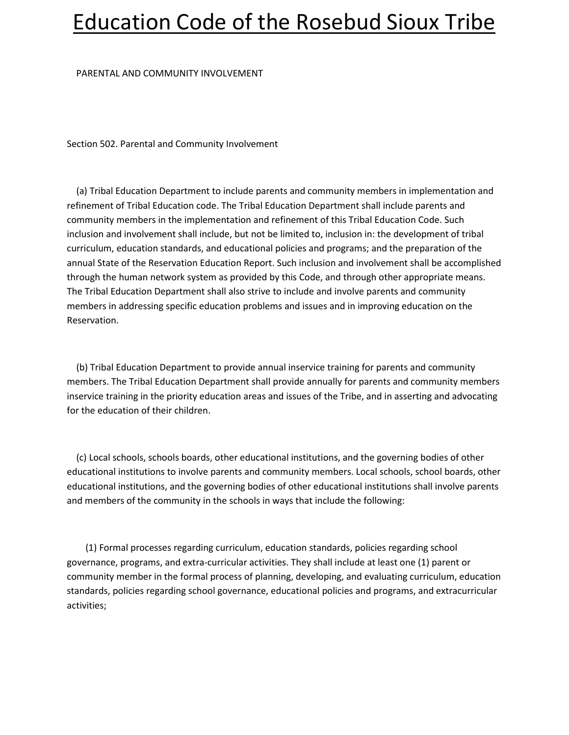#### PARENTAL AND COMMUNITY INVOLVEMENT

Section 502. Parental and Community Involvement

 (a) Tribal Education Department to include parents and community members in implementation and refinement of Tribal Education code. The Tribal Education Department shall include parents and community members in the implementation and refinement of this Tribal Education Code. Such inclusion and involvement shall include, but not be limited to, inclusion in: the development of tribal curriculum, education standards, and educational policies and programs; and the preparation of the annual State of the Reservation Education Report. Such inclusion and involvement shall be accomplished through the human network system as provided by this Code, and through other appropriate means. The Tribal Education Department shall also strive to include and involve parents and community members in addressing specific education problems and issues and in improving education on the Reservation.

 (b) Tribal Education Department to provide annual inservice training for parents and community members. The Tribal Education Department shall provide annually for parents and community members inservice training in the priority education areas and issues of the Tribe, and in asserting and advocating for the education of their children.

 (c) Local schools, schools boards, other educational institutions, and the governing bodies of other educational institutions to involve parents and community members. Local schools, school boards, other educational institutions, and the governing bodies of other educational institutions shall involve parents and members of the community in the schools in ways that include the following:

 (1) Formal processes regarding curriculum, education standards, policies regarding school governance, programs, and extra-curricular activities. They shall include at least one (1) parent or community member in the formal process of planning, developing, and evaluating curriculum, education standards, policies regarding school governance, educational policies and programs, and extracurricular activities;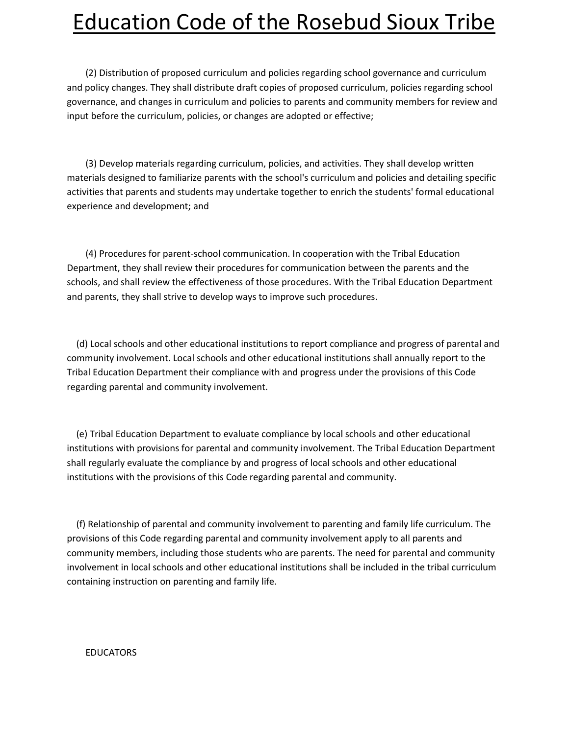(2) Distribution of proposed curriculum and policies regarding school governance and curriculum and policy changes. They shall distribute draft copies of proposed curriculum, policies regarding school governance, and changes in curriculum and policies to parents and community members for review and input before the curriculum, policies, or changes are adopted or effective;

 (3) Develop materials regarding curriculum, policies, and activities. They shall develop written materials designed to familiarize parents with the school's curriculum and policies and detailing specific activities that parents and students may undertake together to enrich the students' formal educational experience and development; and

 (4) Procedures for parent-school communication. In cooperation with the Tribal Education Department, they shall review their procedures for communication between the parents and the schools, and shall review the effectiveness of those procedures. With the Tribal Education Department and parents, they shall strive to develop ways to improve such procedures.

 (d) Local schools and other educational institutions to report compliance and progress of parental and community involvement. Local schools and other educational institutions shall annually report to the Tribal Education Department their compliance with and progress under the provisions of this Code regarding parental and community involvement.

 (e) Tribal Education Department to evaluate compliance by local schools and other educational institutions with provisions for parental and community involvement. The Tribal Education Department shall regularly evaluate the compliance by and progress of local schools and other educational institutions with the provisions of this Code regarding parental and community.

 (f) Relationship of parental and community involvement to parenting and family life curriculum. The provisions of this Code regarding parental and community involvement apply to all parents and community members, including those students who are parents. The need for parental and community involvement in local schools and other educational institutions shall be included in the tribal curriculum containing instruction on parenting and family life.

#### EDUCATORS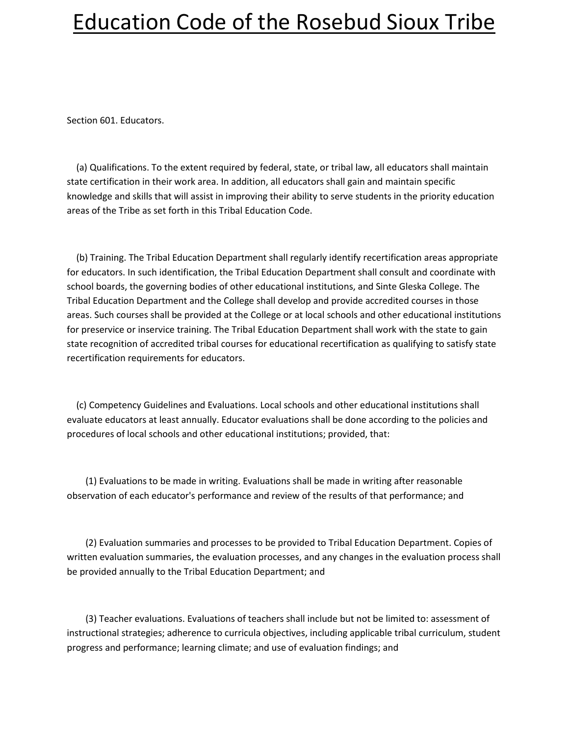Section 601. Educators.

 (a) Qualifications. To the extent required by federal, state, or tribal law, all educators shall maintain state certification in their work area. In addition, all educators shall gain and maintain specific knowledge and skills that will assist in improving their ability to serve students in the priority education areas of the Tribe as set forth in this Tribal Education Code.

 (b) Training. The Tribal Education Department shall regularly identify recertification areas appropriate for educators. In such identification, the Tribal Education Department shall consult and coordinate with school boards, the governing bodies of other educational institutions, and Sinte Gleska College. The Tribal Education Department and the College shall develop and provide accredited courses in those areas. Such courses shall be provided at the College or at local schools and other educational institutions for preservice or inservice training. The Tribal Education Department shall work with the state to gain state recognition of accredited tribal courses for educational recertification as qualifying to satisfy state recertification requirements for educators.

 (c) Competency Guidelines and Evaluations. Local schools and other educational institutions shall evaluate educators at least annually. Educator evaluations shall be done according to the policies and procedures of local schools and other educational institutions; provided, that:

 (1) Evaluations to be made in writing. Evaluations shall be made in writing after reasonable observation of each educator's performance and review of the results of that performance; and

 (2) Evaluation summaries and processes to be provided to Tribal Education Department. Copies of written evaluation summaries, the evaluation processes, and any changes in the evaluation process shall be provided annually to the Tribal Education Department; and

 (3) Teacher evaluations. Evaluations of teachers shall include but not be limited to: assessment of instructional strategies; adherence to curricula objectives, including applicable tribal curriculum, student progress and performance; learning climate; and use of evaluation findings; and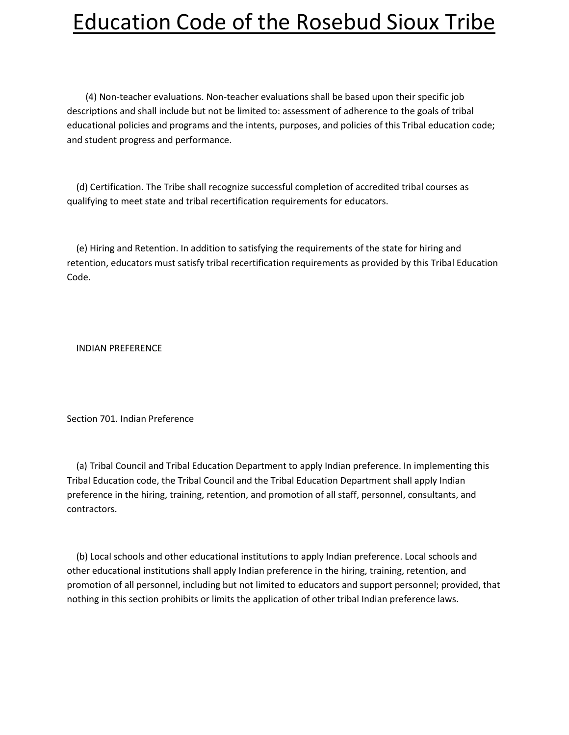(4) Non-teacher evaluations. Non-teacher evaluations shall be based upon their specific job descriptions and shall include but not be limited to: assessment of adherence to the goals of tribal educational policies and programs and the intents, purposes, and policies of this Tribal education code; and student progress and performance.

 (d) Certification. The Tribe shall recognize successful completion of accredited tribal courses as qualifying to meet state and tribal recertification requirements for educators.

 (e) Hiring and Retention. In addition to satisfying the requirements of the state for hiring and retention, educators must satisfy tribal recertification requirements as provided by this Tribal Education Code.

INDIAN PREFERENCE

Section 701. Indian Preference

 (a) Tribal Council and Tribal Education Department to apply Indian preference. In implementing this Tribal Education code, the Tribal Council and the Tribal Education Department shall apply Indian preference in the hiring, training, retention, and promotion of all staff, personnel, consultants, and contractors.

 (b) Local schools and other educational institutions to apply Indian preference. Local schools and other educational institutions shall apply Indian preference in the hiring, training, retention, and promotion of all personnel, including but not limited to educators and support personnel; provided, that nothing in this section prohibits or limits the application of other tribal Indian preference laws.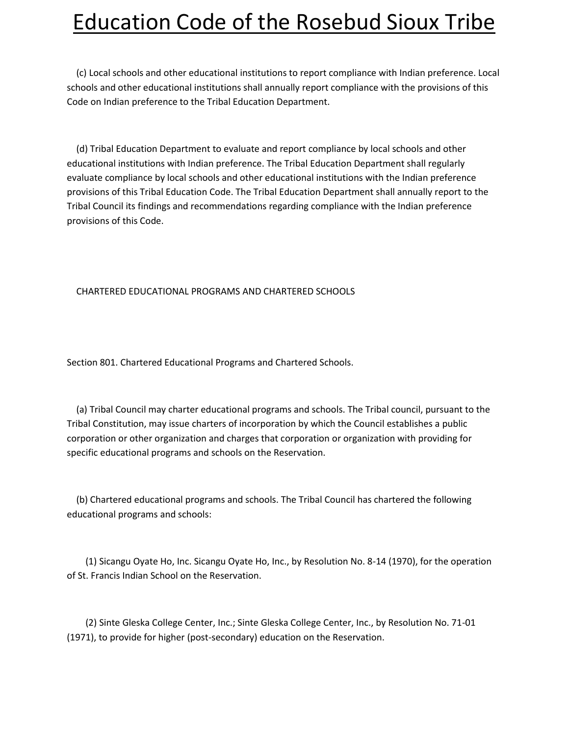(c) Local schools and other educational institutions to report compliance with Indian preference. Local schools and other educational institutions shall annually report compliance with the provisions of this Code on Indian preference to the Tribal Education Department.

 (d) Tribal Education Department to evaluate and report compliance by local schools and other educational institutions with Indian preference. The Tribal Education Department shall regularly evaluate compliance by local schools and other educational institutions with the Indian preference provisions of this Tribal Education Code. The Tribal Education Department shall annually report to the Tribal Council its findings and recommendations regarding compliance with the Indian preference provisions of this Code.

#### CHARTERED EDUCATIONAL PROGRAMS AND CHARTERED SCHOOLS

Section 801. Chartered Educational Programs and Chartered Schools.

 (a) Tribal Council may charter educational programs and schools. The Tribal council, pursuant to the Tribal Constitution, may issue charters of incorporation by which the Council establishes a public corporation or other organization and charges that corporation or organization with providing for specific educational programs and schools on the Reservation.

 (b) Chartered educational programs and schools. The Tribal Council has chartered the following educational programs and schools:

 (1) Sicangu Oyate Ho, Inc. Sicangu Oyate Ho, Inc., by Resolution No. 8-14 (1970), for the operation of St. Francis Indian School on the Reservation.

 (2) Sinte Gleska College Center, Inc.; Sinte Gleska College Center, Inc., by Resolution No. 71-01 (1971), to provide for higher (post-secondary) education on the Reservation.